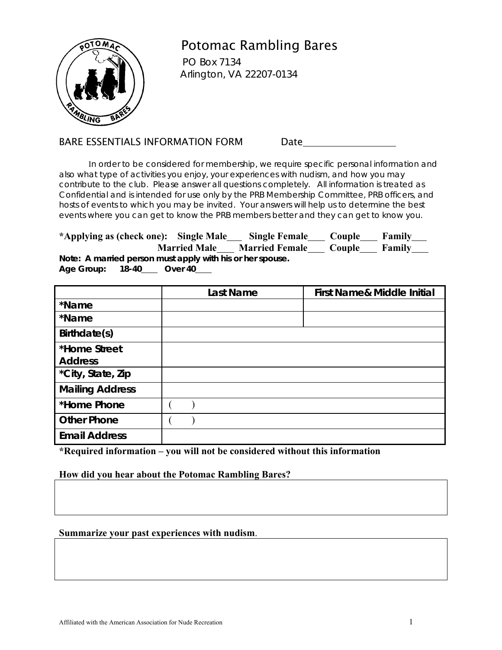

# Potomac Rambling Bares

 PO Box 7134 Arlington, VA 22207-0134

### BARE ESSENTIALS INFORMATION FORM Date

 In order to be considered for membership, we require specific personal information and also what type of activities you enjoy, your experiences with nudism, and how you may contribute to the club. Please answer all questions completely. All information is treated as Confidential and is intended for use only by the PRB Membership Committee, PRB officers, and hosts of events to which you may be invited. Your answers will help us to determine the best events where you can get to know the PRB members better and they can get to know you.

| *Applying as (check one): Single Male |       |                                                           | <b>Single Female</b>  | Couple | Family        |
|---------------------------------------|-------|-----------------------------------------------------------|-----------------------|--------|---------------|
|                                       |       | <b>Married Male</b>                                       | <b>Married Female</b> | Couple | <b>Family</b> |
|                                       |       | Note: A married person must apply with his or her spouse. |                       |        |               |
| Age Group:                            | 18-40 | Over 40                                                   |                       |        |               |

|                        | <b>Last Name</b> | <b>First Name&amp; Middle Initial</b> |
|------------------------|------------------|---------------------------------------|
| *Name                  |                  |                                       |
| *Name                  |                  |                                       |
| Birthdate(s)           |                  |                                       |
| *Home Street           |                  |                                       |
| <b>Address</b>         |                  |                                       |
| *City, State, Zip      |                  |                                       |
| <b>Mailing Address</b> |                  |                                       |
| *Home Phone            |                  |                                       |
| <b>Other Phone</b>     |                  |                                       |
| <b>Email Address</b>   |                  |                                       |

**\*Required information – you will not be considered without this information** 

### **How did you hear about the Potomac Rambling Bares?**

#### **Summarize your past experiences with nudism**.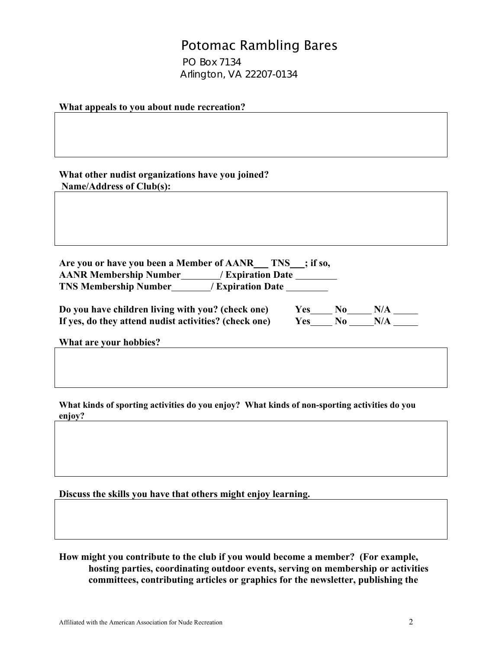## Potomac Rambling Bares

 PO Box 7134 Arlington, VA 22207-0134

**What appeals to you about nude recreation?** 

**What other nudist organizations have you joined? Name/Address of Club(s):** 

**Are you or have you been a Member of AANR TNS ; if so, AANR Membership Number / Expiration Date** . **TNS Membership Number / Expiration Date** .

| Do you have children living with you? (check one)     | Yes | N <sub>0</sub> | N/A |  |
|-------------------------------------------------------|-----|----------------|-----|--|
| If yes, do they attend nudist activities? (check one) | Yes | No.            | N/A |  |

| Y es | NΛ |     |
|------|----|-----|
| Ves: | N۵ | V I |

**What are your hobbies?** 

**What kinds of sporting activities do you enjoy? What kinds of non-sporting activities do you enjoy?** 

**Discuss the skills you have that others might enjoy learning.** 

**How might you contribute to the club if you would become a member? (For example, hosting parties, coordinating outdoor events, serving on membership or activities committees, contributing articles or graphics for the newsletter, publishing the**